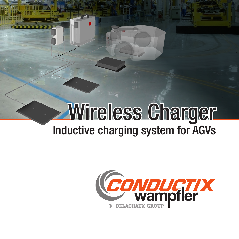# Wireless Charger Inductive charging system for AGVs

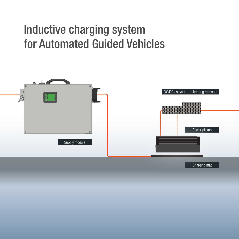## Inductive charging system for Automated Guided Vehicles

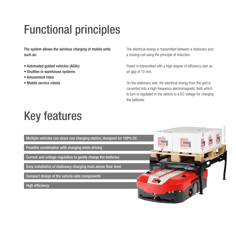# Functional principles

The system allows the wireless charging of mobile units such as:

- Automated guided vehicles (AGVs)
- Shuttles in warehouse systems
- Amusement rides
- Mobile service robots

The electrical energy is transmitted between a stationary and a moving coil using the principle of induction.

Power is transmitted with a high degree of efficiency over an air gap of 10 mm.

On the stationary side, the electrical energy from the grid is converted into a high-frequency electromagnetic field, which in turn is regulated in the vehicle to a DC voltage for charging the batteries.

# Key features

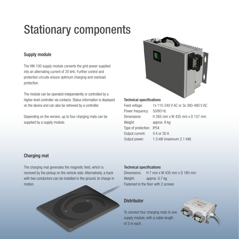# Stationary components

### Supply module

The VM-100 supply module converts the grid power supplied into an alternating current of 20 kHz. Further control and protection circuits ensure optimum charging and overload protection.

The module can be operated independently or controlled by a higher-level controller via contacts. Status information is displayed on the device and can also be retrieved by a controller.

Depending on the version, up to four charging mats can be supplied by a supply module.



#### Technical specifications

| Feed voltage:       | 1x 110-240 V AC or 3x 380-480 V AC |
|---------------------|------------------------------------|
| Power frequency:    | 50/60 Hz                           |
| Dimensions:         | H 265 mm x W 435 mm x D 157 mm     |
| Weight:             | approx. 9 kg                       |
| Type of protection: | <b>IP54</b>                        |
| Output current:     | 5 A or 30 A                        |
| Output power:       | 1.5 kW (maximum 2.1 kW)            |
|                     |                                    |

### Charging mat

The charging mat generates the magnetic field, which is received by the pickup on the vehicle side. Alternatively, a track with two conductors can be installed in the ground, to charge in motion.



#### Technical specifications

Dimensions: H 7 mm x W 435 mm x D 180 mm Weight: approx. 0.7 kg Fastened to the floor with 2 screws

### **Distributor**

To connect four charging mats to one supply module, with a cable length of 3 m each.

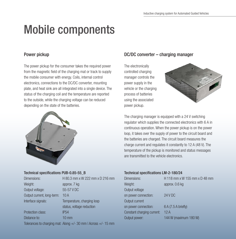## Mobile components

### Power pickup

The power pickup for the consumer takes the required power from the magnetic field of the charging mat or track to supply the mobile consumer with energy. Coils, internal control electronics, connections to the DC/DC converter, mounting plate, and heat sink are all integrated into a single device. The status of the charging coil and the temperature are reported to the outside, while the charging voltage can be reduced depending on the state of the batteries.



#### Technical specifications PUB-0.85-55\_B

| Dimensions:                | H 80.3 mm x W 222 mm x D 216 mm |
|----------------------------|---------------------------------|
| Weight:                    | approx. 7 kg                    |
| Output voltage:            | 55-57 V DC                      |
| Output current, long-term: | 10A                             |
| Interface signals:         | Temperature, charging loop      |
|                            | status, voltage reduction       |
| Protection class:          | <b>IP54</b>                     |
| Distance to:               | $10 \text{ mm}$                 |
| _________                  | $\mathbf{r}$                    |

Tolerances to charging mat: Along +/- 30 mm | Across +/- 15 mm

### DC/DC converter – charging manager

The electronically controlled charging manager controls the power supply in the vehicle or the charging process of batteries using the associated power pickup.



The charging manager is equipped with a 24 V switching regulator which supplies the connected electronics with 6 A in continuous operation. When the power pickup is on the power loop, it takes over the supply of power to the circuit board and the batteries are charged. The circuit board measures the charge current and regulates it constantly to 12 A (48 V). The temperature of the pickup is monitored and status messages are transmitted to the vehicle electronics.

#### Technical specifications LM-2-180/24

| H 118 mm x W 155 mm x D 48 mm |
|-------------------------------|
| approx. 0.6 kg                |
|                               |
| <b>24 V DC</b>                |
|                               |
| 6 A (7.5 A briefly)           |
| 12A                           |
| 144 W (maximum 180 W)         |
|                               |